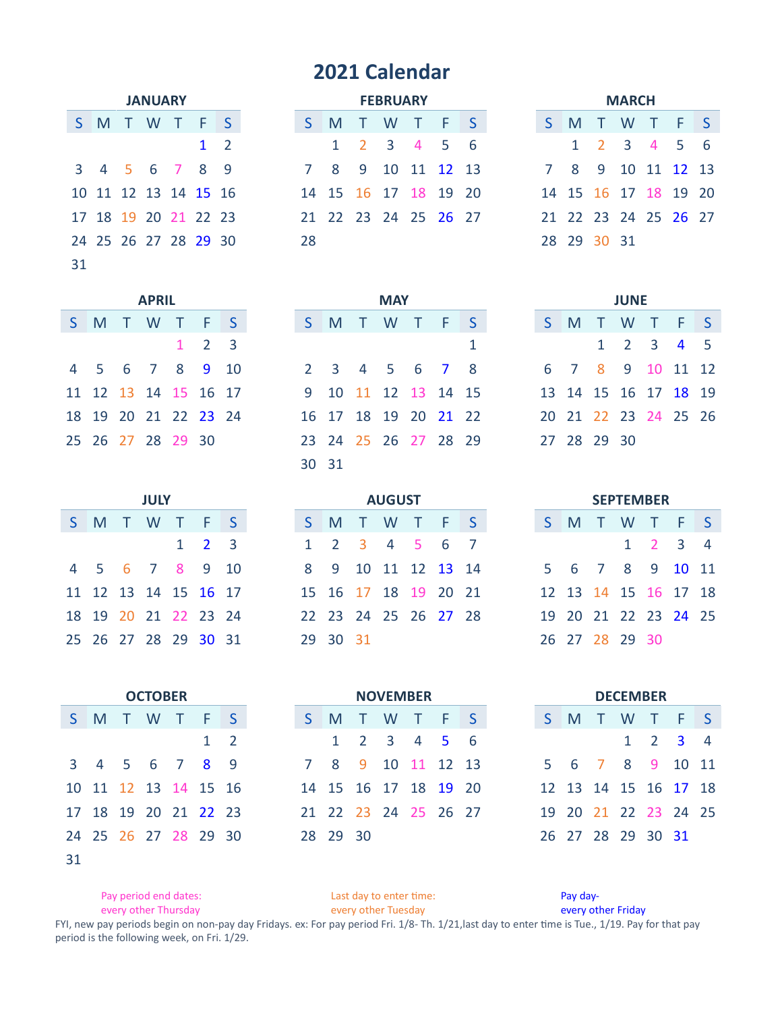## **2021 Calendar**

|    | <b>JANUARY</b> |  |                      |  |            |     |  |  |  |  |  |  |
|----|----------------|--|----------------------|--|------------|-----|--|--|--|--|--|--|
| S. |                |  | M T W T F            |  |            | ∣S. |  |  |  |  |  |  |
|    |                |  |                      |  | $1\quad 2$ |     |  |  |  |  |  |  |
|    |                |  | 3 4 5 6 7 8 9        |  |            |     |  |  |  |  |  |  |
|    |                |  | 10 11 12 13 14 15 16 |  |            |     |  |  |  |  |  |  |
|    |                |  | 17 18 19 20 21 22 23 |  |            |     |  |  |  |  |  |  |
|    |                |  | 24 25 26 27 28 29 30 |  |            |     |  |  |  |  |  |  |
| 31 |                |  |                      |  |            |     |  |  |  |  |  |  |

| <b>JANUARY</b> |  |            |
|----------------|--|------------|
| T W T F S      |  |            |
|                |  | $1\quad 2$ |
| 5 6 7 8 9      |  |            |
| 2 13 14 15 16  |  |            |
| 9 20 21 22 23  |  |            |
| 16 27 28 29 30 |  |            |

31

**OCTOBER NOVEMBER** 

2

|             |             | <b>MARCH</b>         |  |  |
|-------------|-------------|----------------------|--|--|
| $S_{\perp}$ |             | M T W T F S          |  |  |
|             |             | 1 2 3 4 5 6          |  |  |
|             |             | 7 8 9 10 11 12 13    |  |  |
|             |             | 14 15 16 17 18 19 20 |  |  |
|             |             | 21 22 23 24 25 26 27 |  |  |
|             | 28 29 30 31 |                      |  |  |

| <b>APRIL</b> |          |  |                     |  |
|--------------|----------|--|---------------------|--|
|              |          |  | W T F S             |  |
|              |          |  | $1 \quad 2 \quad 3$ |  |
|              |          |  | 7 8 9 10            |  |
|              |          |  | 14 15 16 17         |  |
|              |          |  | 21 22 23 24         |  |
|              | 28 29 30 |  |                     |  |
|              |          |  |                     |  |

|  |                |  | <b>SEPTEMBER</b>     |   |
|--|----------------|--|----------------------|---|
|  |                |  | S M T W T F S        |   |
|  |                |  | $1 \quad 2 \quad 3$  | 4 |
|  |                |  | 5 6 7 8 9 10 11      |   |
|  |                |  | 12 13 14 15 16 17 18 |   |
|  |                |  | 19 20 21 22 23 24 25 |   |
|  | 26 27 28 29 30 |  |                      |   |

|                      | <b>DFCFMBFR</b> |                     |   |
|----------------------|-----------------|---------------------|---|
| S M T W T F S        |                 |                     |   |
|                      |                 | $1 \quad 2 \quad 3$ | Д |
| 5 6 7 8 9 10 11      |                 |                     |   |
| 12 13 14 15 16 17 18 |                 |                     |   |
| 19 20 21 22 23 24 25 |                 |                     |   |
| 26 27 28 29 30 31    |                 |                     |   |

|    | Pay period end dates: |  |                      |  |          | Last day to enter time: |  | Pay day-   |  |
|----|-----------------------|--|----------------------|--|----------|-------------------------|--|------------|--|
| 31 |                       |  |                      |  |          |                         |  |            |  |
|    |                       |  | 24 25 26 27 28 29 30 |  | 28 29 30 |                         |  | 26 27 28 2 |  |

every other Thursday every other Tuesday every other Friday

FYI, new pay periods begin on non-pay day Fridays. ex: For pay period Fri. 1/8-Th. 1/21,last day to enter time is Tue., 1/19. Pay for that pay period is the following week, on Fri. 1/29.

|  |                      | <b>APRIL</b> |                     |  |
|--|----------------------|--------------|---------------------|--|
|  | S M T W T F S        |              |                     |  |
|  |                      |              | $1 \quad 2 \quad 3$ |  |
|  | 4 5 6 7 8 9 10       |              |                     |  |
|  | 11 12 13 14 15 16 17 |              |                     |  |
|  | 18 19 20 21 22 23 24 |              |                     |  |
|  | 25 26 27 28 29 30    |              |                     |  |

Γ

|  | <b>JULY</b> |                      |                     |    |
|--|-------------|----------------------|---------------------|----|
|  |             | S M T W T F          |                     | -S |
|  |             |                      | $1 \quad 2 \quad 3$ |    |
|  |             | 4 5 6 7 8 9          |                     | 10 |
|  |             | 11 12 13 14 15 16 17 |                     |    |
|  |             | 18 19 20 21 22 23 24 |                     |    |
|  |             | 25 26 27 28 29 30 31 |                     |    |

S M T W T F S

 4 5 6 7 8 9 11 12 13 14 15 16 18 19 20 21 22 23

| JULY |             |  |  |                      | <b>AUGUST</b> |  |  |                | <b>SEPTEMBER</b> |  |
|------|-------------|--|--|----------------------|---------------|--|--|----------------|------------------|--|
|      | W T F S     |  |  | S M T W T F S        |               |  |  | S M T W T      |                  |  |
|      | 1 2 3       |  |  | 1 2 3 4 5 6 7        |               |  |  |                | $1\quad 2$       |  |
|      | 7 8 9 10    |  |  | 8 9 10 11 12 13 14   |               |  |  | 5 6 7 8 9      |                  |  |
|      | 14 15 16 17 |  |  | 15 16 17 18 19 20 21 |               |  |  | 12 13 14 15 16 |                  |  |
|      | 21 22 23 24 |  |  | 22 23 24 25 26 27 28 |               |  |  | 19 20 21 22 23 |                  |  |
|      | 28 29 30 31 |  |  | 29 30 31             |               |  |  | 26 27 28 29 30 |                  |  |

S M T W T F S

 8 9 10 11 12 13 15 16 17 18 19 20 22 23 24 25 26 27

2 3 4 5 6

| <b>FFBRUARY</b> |
|-----------------|